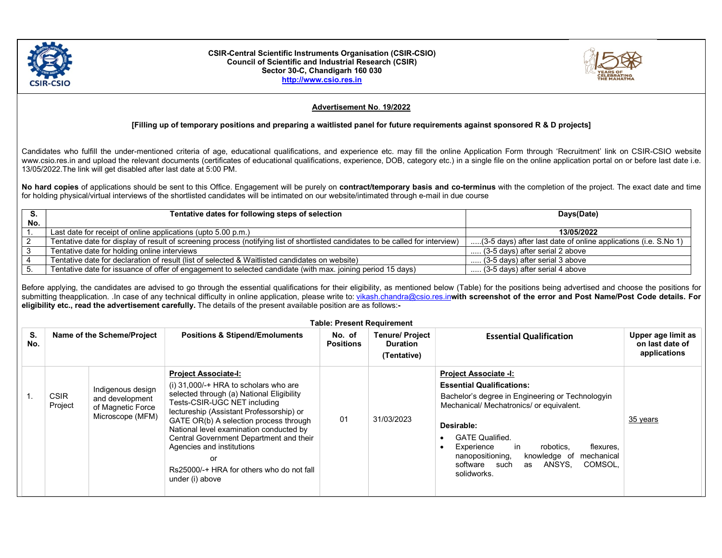

## CSIR-Central Scientific Instruments Organisation (CSIR-CSIO) Council of Scientific and Industrial Research (CSIR) Sector 30-C, Chandigarh 160 030 http://www.csio.res.in



## Advertisement No. 19/2022

## [Filling up of temporary positions and preparing a waitlisted panel for future requirements against sponsored R & D projects]

Candidates who fulfill the under-mentioned criteria of age, educational qualifications, and experience etc. may fill the online Application Form through 'Recruitment' link on CSIR-CSIO website www.csio.res.in and upload the relevant documents (certificates of educational qualifications, experience, DOB, category etc.) in a single file on the online application portal on or before last date i.e. 13/05/2022.The link will get disabled after last date at 5:00 PM.

No hard copies of applications should be sent to this Office. Engagement will be purely on contract/temporary basis and co-terminus with the completion of the project. The exact date and time for holding physical/virtual interviews of the shortlisted candidates will be intimated on our website/intimated through e-mail in due course

|     | Tentative dates for following steps of selection                                                                                | Days(Date)                                                      |  |
|-----|---------------------------------------------------------------------------------------------------------------------------------|-----------------------------------------------------------------|--|
| No. |                                                                                                                                 |                                                                 |  |
|     | Last date for receipt of online applications (upto 5.00 p.m.)                                                                   | 13/05/2022                                                      |  |
|     | Tentative date for display of result of screening process (notifying list of shortlisted candidates to be called for interview) | (3-5 days) after last date of online applications (i.e. S.No 1) |  |
|     | Tentative date for holding online interviews                                                                                    | (3-5 days) after serial 2 above                                 |  |
|     | Tentative date for declaration of result (list of selected & Waitlisted candidates on website)                                  | $\ldots$ (3-5 days) after serial 3 above                        |  |
|     | Tentative date for issuance of offer of engagement to selected candidate (with max. joining period 15 days)                     | (3-5 days) after serial 4 above                                 |  |

Before applying, the candidates are advised to go through the essential qualifications for their eligibility, as mentioned below (Table) for the positions being advertised and choose the positions for submitting theapplication. .In case of any technical difficulty in online application, please write to: vikash.chandra@csio.res.inwith screenshot of the error and Post Name/Post Code details. For eligibility etc., read the advertisement carefully. The details of the present available position are as follows:-

|           | <b>Table: Present Requirement</b> |                            |                                                                               |                                                                                                                                                                                                                                                                                                                                                                                                                                    |                            |                                                                                            |                                                                                                                                                                                                                                                                                                                                                                     |                                                       |  |
|-----------|-----------------------------------|----------------------------|-------------------------------------------------------------------------------|------------------------------------------------------------------------------------------------------------------------------------------------------------------------------------------------------------------------------------------------------------------------------------------------------------------------------------------------------------------------------------------------------------------------------------|----------------------------|--------------------------------------------------------------------------------------------|---------------------------------------------------------------------------------------------------------------------------------------------------------------------------------------------------------------------------------------------------------------------------------------------------------------------------------------------------------------------|-------------------------------------------------------|--|
| S.<br>No. |                                   | Name of the Scheme/Project |                                                                               | <b>Positions &amp; Stipend/Emoluments</b>                                                                                                                                                                                                                                                                                                                                                                                          | No. of<br><b>Positions</b> | <b>Tenure/ Project</b><br><b>Essential Qualification</b><br><b>Duration</b><br>(Tentative) |                                                                                                                                                                                                                                                                                                                                                                     | Upper age limit as<br>on last date of<br>applications |  |
|           |                                   | <b>CSIR</b><br>Project     | Indigenous design<br>and development<br>of Magnetic Force<br>Microscope (MFM) | <b>Project Associate-I:</b><br>(i) $31,000/$ + HRA to scholars who are<br>selected through (a) National Eligibility<br>Tests-CSIR-UGC NET including<br>lectureship (Assistant Professorship) or<br>GATE OR(b) A selection process through<br>National level examination conducted by<br>Central Government Department and their<br>Agencies and institutions<br>or<br>Rs25000/-+ HRA for others who do not fall<br>under (i) above | 01                         | 31/03/2023                                                                                 | <b>Project Associate -I:</b><br><b>Essential Qualifications:</b><br>Bachelor's degree in Engineering or Technologyin<br>Mechanical/ Mechatronics/ or equivalent.<br>Desirable:<br><b>GATE Qualified.</b><br>Experience<br>robotics,<br>flexures,<br>in<br>nanopositioning,<br>knowledge of<br>mechanical<br>ANSYS.<br>COMSOL.<br>software such<br>as<br>solidworks. | 35 years                                              |  |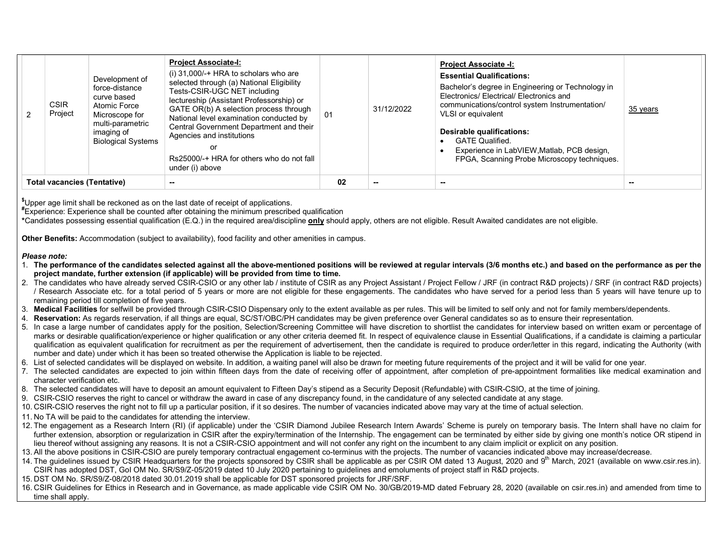|                                          | <b>CSIR</b><br>Project | Development of<br>force-distance<br>curve based<br>Atomic Force<br>Microscope for<br>multi-parametric<br>imaging of<br><b>Biological Systems</b> | <b>Project Associate-I:</b><br>(i) $31,000/$ + HRA to scholars who are<br>selected through (a) National Eligibility<br>Tests-CSIR-UGC NET including<br>lectureship (Assistant Professorship) or<br>GATE OR(b) A selection process through<br>National level examination conducted by<br>Central Government Department and their<br>Agencies and institutions<br>Rs25000/-+ HRA for others who do not fall<br>under (i) above | 01 | 31/12/2022 | <b>Project Associate -I:</b><br><b>Essential Qualifications:</b><br>Bachelor's degree in Engineering or Technology in<br>Electronics/ Electrical/ Electronics and<br>communications/control system Instrumentation/<br>VLSI or equivalent<br>Desirable qualifications:<br><b>GATE Qualified.</b><br>Experience in LabVIEW, Matlab, PCB design,<br>FPGA, Scanning Probe Microscopy techniques. | 35 years |
|------------------------------------------|------------------------|--------------------------------------------------------------------------------------------------------------------------------------------------|------------------------------------------------------------------------------------------------------------------------------------------------------------------------------------------------------------------------------------------------------------------------------------------------------------------------------------------------------------------------------------------------------------------------------|----|------------|-----------------------------------------------------------------------------------------------------------------------------------------------------------------------------------------------------------------------------------------------------------------------------------------------------------------------------------------------------------------------------------------------|----------|
| <b>Total vacancies (Tentative)</b><br>-- |                        | 02                                                                                                                                               |                                                                                                                                                                                                                                                                                                                                                                                                                              |    |            |                                                                                                                                                                                                                                                                                                                                                                                               |          |

\$Upper age limit shall be reckoned as on the last date of receipt of applications.

 $*$ Experience: Experience shall be counted after obtaining the minimum prescribed qualification

\*Candidates possessing essential qualification (E.Q.) in the required area/discipline **only** should apply, others are not eligible. Result Awaited candidates are not eligible.

Other Benefits: Accommodation (subject to availability), food facility and other amenities in campus.

## Please note:

1. The performance of the candidates selected against all the above-mentioned positions will be reviewed at regular intervals (3/6 months etc.) and based on the performance as per the project mandate, further extension (if applicable) will be provided from time to time.

- 2. The candidates who have already served CSIR-CSIO or any other lab / institute of CSIR as any Project Assistant / Project Fellow / JRF (in contract R&D projects) / SRF (in contract R&D projects) / Research Associate etc. for a total period of 5 years or more are not eligible for these engagements. The candidates who have served for a period less than 5 years will have tenure up to remaining period till completion of five years.
- 3. Medical Facilities for selfwill be provided through CSIR-CSIO Dispensary only to the extent available as per rules. This will be limited to self only and not for family members/dependents.
- 4. Reservation: As regards reservation, if all things are equal, SC/ST/OBC/PH candidates may be given preference over General candidates so as to ensure their representation.
- 5. In case a large number of candidates apply for the position, Selection/Screening Committee will have discretion to shortlist the candidates for interview based on written exam or percentage of marks or desirable qualification/experience or higher qualification or any other criteria deemed fit. In respect of equivalence clause in Essential Qualifications, if a candidate is claiming a particular qualification as equivalent qualification for recruitment as per the requirement of advertisement, then the candidate is required to produce order/letter in this regard, indicating the Authority (with number and date) under which it has been so treated otherwise the Application is liable to be rejected.
- 6. List of selected candidates will be displayed on website. In addition, a waiting panel will also be drawn for meeting future requirements of the project and it will be valid for one year.
- 7. The selected candidates are expected to join within fifteen days from the date of receiving offer of appointment, after completion of pre-appointment formalities like medical examination and character verification etc.
- 8. The selected candidates will have to deposit an amount equivalent to Fifteen Day's stipend as a Security Deposit (Refundable) with CSIR-CSIO, at the time of joining.
- 9. CSIR-CSIO reserves the right to cancel or withdraw the award in case of any discrepancy found, in the candidature of any selected candidate at any stage.
- 10. CSIR-CSIO reserves the right not to fill up a particular position, if it so desires. The number of vacancies indicated above may vary at the time of actual selection.
- 11. No TA will be paid to the candidates for attending the interview.
- 12. The engagement as a Research Intern (RI) (if applicable) under the 'CSIR Diamond Jubilee Research Intern Awards' Scheme is purely on temporary basis. The Intern shall have no claim for further extension, absorption or regularization in CSIR after the expiry/termination of the Internship. The engagement can be terminated by either side by giving one month's notice OR stipend in lieu thereof without assigning any reasons. It is not a CSIR-CSIO appointment and will not confer any right on the incumbent to any claim implicit or explicit on any position.
- 13. All the above positions in CSIR-CSIO are purely temporary contractual engagement co-terminus with the projects. The number of vacancies indicated above may increase/decrease.
- 14. The guidelines issued by CSIR Headquarters for the projects sponsored by CSIR shall be applicable as per CSIR OM dated 13 August, 2020 and 9<sup>th</sup> March, 2021 (available on www.csir.res.in). CSIR has adopted DST, GoI OM No. SR/S9/Z-05/2019 dated 10 July 2020 pertaining to guidelines and emoluments of project staff in R&D projects.
- 15. DST OM No. SR/S9/Z-08/2018 dated 30.01.2019 shall be applicable for DST sponsored projects for JRF/SRF.
- 16. CSIR Guidelines for Ethics in Research and in Governance, as made applicable vide CSIR OM No. 30/GB/2019-MD dated February 28, 2020 (available on csir.res.in) and amended from time to time shall apply.